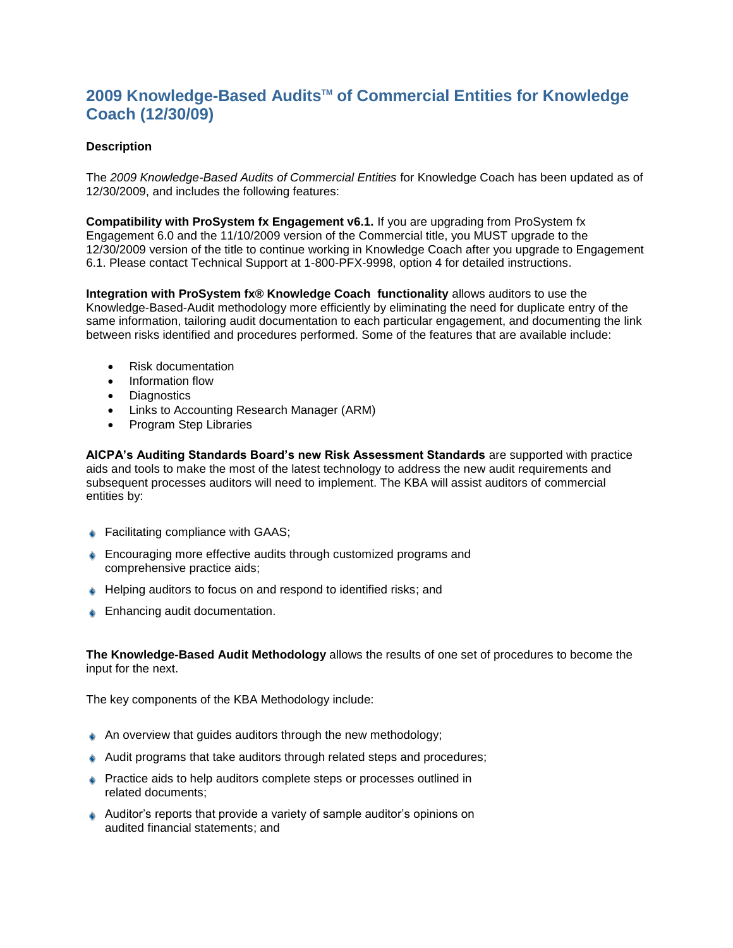## **2009 Knowledge-Based AuditsTM of Commercial Entities for Knowledge Coach (12/30/09)**

## **Description**

The *2009 Knowledge-Based Audits of Commercial Entities* for Knowledge Coach has been updated as of 12/30/2009, and includes the following features:

**Compatibility with ProSystem fx Engagement v6.1.** If you are upgrading from ProSystem fx Engagement 6.0 and the 11/10/2009 version of the Commercial title, you MUST upgrade to the 12/30/2009 version of the title to continue working in Knowledge Coach after you upgrade to Engagement 6.1. Please contact Technical Support at 1-800-PFX-9998, option 4 for detailed instructions.

**Integration with ProSystem fx® Knowledge Coach functionality** allows auditors to use the Knowledge-Based-Audit methodology more efficiently by eliminating the need for duplicate entry of the same information, tailoring audit documentation to each particular engagement, and documenting the link between risks identified and procedures performed. Some of the features that are available include:

- Risk documentation
- Information flow
- Diagnostics
- Links to Accounting Research Manager (ARM)
- Program Step Libraries

**AICPA's Auditing Standards Board's new Risk Assessment Standards** are supported with practice aids and tools to make the most of the latest technology to address the new audit requirements and subsequent processes auditors will need to implement. The KBA will assist auditors of commercial entities by:

- ♦ Facilitating compliance with GAAS;
- **Encouraging more effective audits through customized programs and** comprehensive practice aids;
- ♦ Helping auditors to focus on and respond to identified risks; and
- **Enhancing audit documentation.**

**The Knowledge-Based Audit Methodology** allows the results of one set of procedures to become the input for the next.

The key components of the KBA Methodology include:

- An overview that guides auditors through the new methodology;
- Audit programs that take auditors through related steps and procedures;
- Practice aids to help auditors complete steps or processes outlined in related documents;
- Auditor's reports that provide a variety of sample auditor's opinions on audited financial statements; and